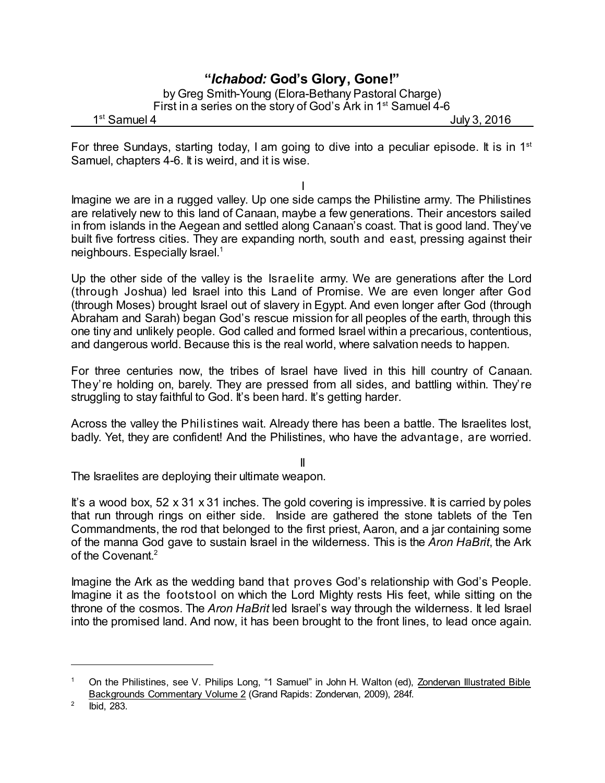## **"***Ichabod:* **God's Glory, Gone!"**

by Greg Smith-Young (Elora-Bethany Pastoral Charge) First in a series on the story of God's Ark in 1<sup>st</sup> Samuel 4-6

1<sup>st</sup> Samuel 4

July 3, 2016

For three Sundays, starting today, I am going to dive into a peculiar episode. It is in 1<sup>st</sup> Samuel, chapters 4-6. It is weird, and it is wise.

I

Imagine we are in a rugged valley. Up one side camps the Philistine army. The Philistines are relatively new to this land of Canaan, maybe a few generations. Their ancestors sailed in from islands in the Aegean and settled along Canaan's coast. That is good land. They've built five fortress cities. They are expanding north, south and east, pressing against their neighbours. Especially Israel.<sup>1</sup>

Up the other side of the valley is the Israelite army. We are generations after the Lord (through Joshua) led Israel into this Land of Promise. We are even longer after God (through Moses) brought Israel out of slavery in Egypt. And even longer after God (through Abraham and Sarah) began God's rescue mission for all peoples of the earth, through this one tiny and unlikely people. God called and formed Israel within a precarious, contentious, and dangerous world. Because this is the real world, where salvation needs to happen.

For three centuries now, the tribes of Israel have lived in this hill country of Canaan. They're holding on, barely. They are pressed from all sides, and battling within. They're struggling to stay faithful to God. It's been hard. It's getting harder.

Across the valley the Philistines wait. Already there has been a battle. The Israelites lost, badly. Yet, they are confident! And the Philistines, who have the advantage, are worried.

II

The Israelites are deploying their ultimate weapon.

It's a wood box,  $52 \times 31 \times 31$  inches. The gold covering is impressive. It is carried by poles that run through rings on either side. Inside are gathered the stone tablets of the Ten Commandments, the rod that belonged to the first priest, Aaron, and a jar containing some of the manna God gave to sustain Israel in the wilderness. This is the *Aron HaBrit*, the Ark of the Covenant. 2

Imagine the Ark as the wedding band that proves God's relationship with God's People. Imagine it as the footstool on which the Lord Mighty rests His feet, while sitting on the throne of the cosmos. The *Aron HaBrit* led Israel's way through the wilderness. It led Israel into the promised land. And now, it has been brought to the front lines, to lead once again.

<sup>1</sup> On the Philistines, see V. Philips Long, "1 Samuel" in John H. Walton (ed), Zondervan Illustrated Bible Backgrounds Commentary Volume 2 (Grand Rapids: Zondervan, 2009), 284f.

<sup>2</sup> Ibid, 283.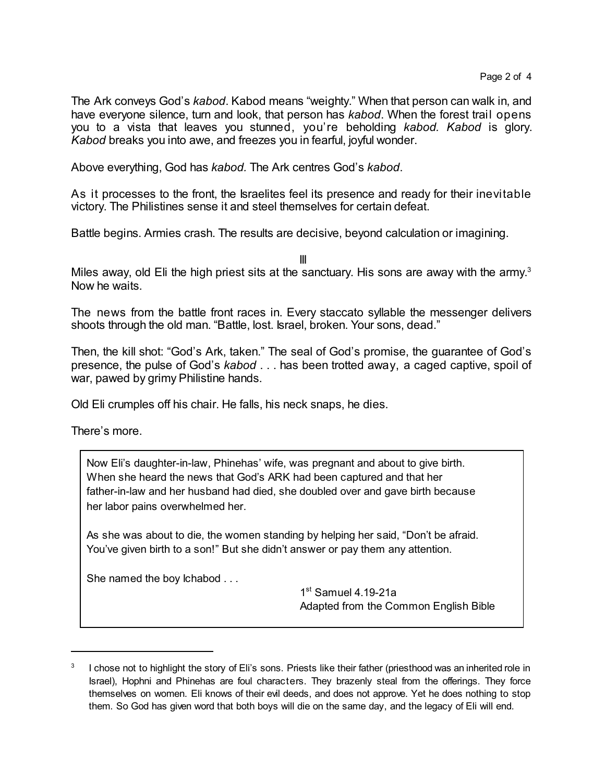The Ark conveys God's *kabod*. Kabod means "weighty." When that person can walk in, and have everyone silence, turn and look, that person has *kabod*. When the forest trail opens you to a vista that leaves you stunned, you're beholding *kabod. Kabod* is glory. *Kabod* breaks you into awe, and freezes you in fearful, joyful wonder.

Above everything, God has *kabod.* The Ark centres God's *kabod*.

As it processes to the front, the Israelites feel its presence and ready for their inevitable victory. The Philistines sense it and steel themselves for certain defeat.

Battle begins. Armies crash. The results are decisive, beyond calculation or imagining.

III

Miles away, old Eli the high priest sits at the sanctuary. His sons are away with the army.<sup>3</sup> Now he waits.

The news from the battle front races in. Every staccato syllable the messenger delivers shoots through the old man. "Battle, lost. Israel, broken. Your sons, dead."

Then, the kill shot: "God's Ark, taken." The seal of God's promise, the guarantee of God's presence, the pulse of God's *kabod* . . . has been trotted away, a caged captive, spoil of war, pawed by grimy Philistine hands.

Old Eli crumples off his chair. He falls, his neck snaps, he dies.

There's more.

Now Eli's daughter-in-law, Phinehas' wife, was pregnant and about to give birth. When she heard the news that God's ARK had been captured and that her father-in-law and her husband had died, she doubled over and gave birth because her labor pains overwhelmed her.

As she was about to die, the women standing by helping her said, "Don't be afraid. You've given birth to a son!" But she didn't answer or pay them any attention.

She named the boy Ichabod . . .

1st Samuel 4.19-21a Adapted from the Common English Bible

<sup>3</sup> I chose not to highlight the story of Eli's sons. Priests like their father (priesthood was an inherited role in Israel), Hophni and Phinehas are foul characters. They brazenly steal from the offerings. They force themselves on women. Eli knows of their evil deeds, and does not approve. Yet he does nothing to stop them. So God has given word that both boys will die on the same day, and the legacy of Eli will end.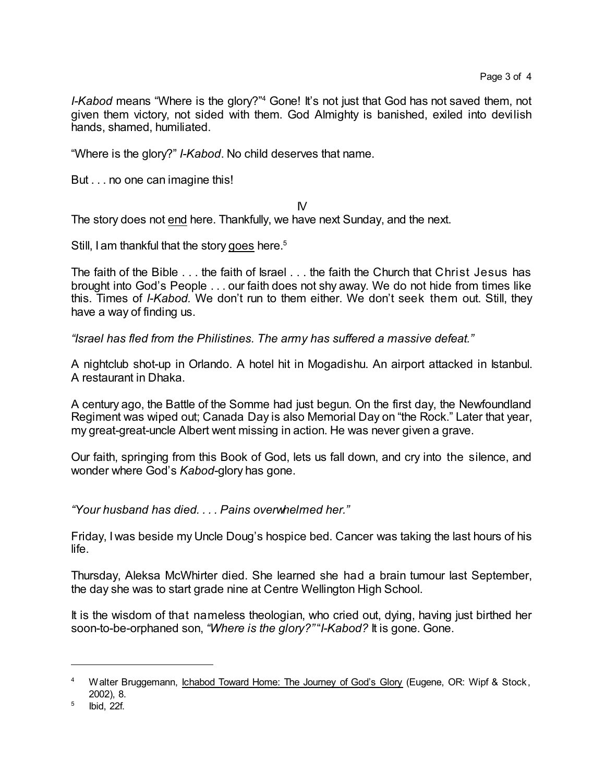*I-Kabod* means "Where is the glory?"<sup>4</sup> Gone! It's not just that God has not saved them, not given them victory, not sided with them. God Almighty is banished, exiled into devilish hands, shamed, humiliated.

"Where is the glory?" *I-Kabod*. No child deserves that name.

But . . . no one can imagine this!

IV

The story does not end here. Thankfully, we have next Sunday, and the next.

Still, I am thankful that the story goes here.<sup>5</sup>

The faith of the Bible . . . the faith of Israel . . . the faith the Church that Christ Jesus has brought into God's People . . . our faith does not shy away. We do not hide from times like this. Times of *I-Kabod.* We don't run to them either. We don't seek them out. Still, they have a way of finding us.

*"Israel has fled from the Philistines. The army has suffered a massive defeat."*

A nightclub shot-up in Orlando. A hotel hit in Mogadishu. An airport attacked in Istanbul. A restaurant in Dhaka.

A century ago, the Battle of the Somme had just begun. On the first day, the Newfoundland Regiment was wiped out; Canada Day is also Memorial Day on "the Rock." Later that year, my great-great-uncle Albert went missing in action. He was never given a grave.

Our faith, springing from this Book of God, lets us fall down, and cry into the silence, and wonder where God's *Kabod-*glory has gone.

*"Your husband has died. . . . Pains overwhelmed her."*

Friday, I was beside my Uncle Doug's hospice bed. Cancer was taking the last hours of his life.

Thursday, Aleksa McWhirter died. She learned she had a brain tumour last September, the day she was to start grade nine at Centre Wellington High School.

It is the wisdom of that nameless theologian, who cried out, dying, having just birthed her soon-to-be-orphaned son, *"Where is the glory?"* "*I-Kabod?* It is gone. Gone.

<sup>4</sup> Walter Bruggemann, Ichabod Toward Home: The Journey of God's Glory (Eugene, OR: Wipf & Stock, 2002), 8.

<sup>5</sup> Ibid, 22f.